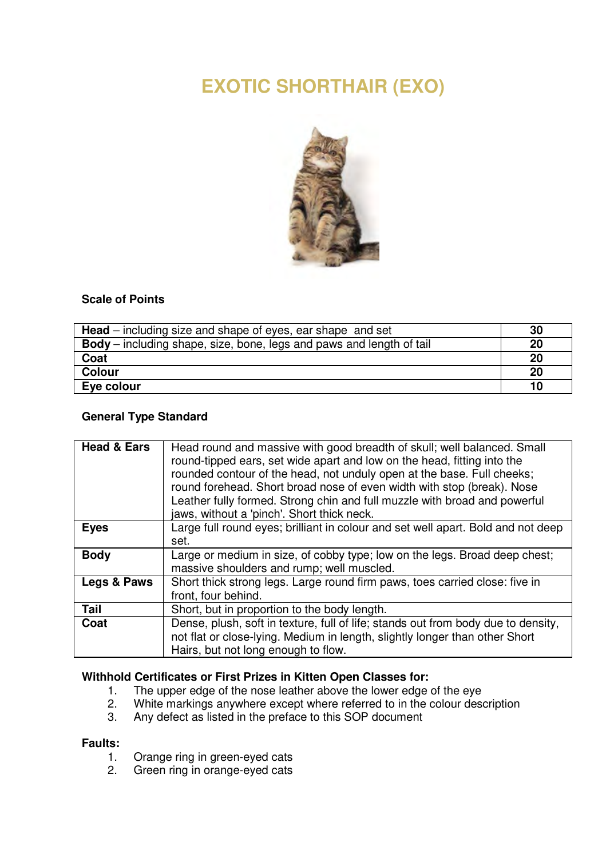# **EXOTIC SHORTHAIR (EXO)**



# **Scale of Points**

| <b>Head</b> – including size and shape of eyes, ear shape and set           | 30 |
|-----------------------------------------------------------------------------|----|
| <b>Body</b> – including shape, size, bone, legs and paws and length of tail | 20 |
| Coat                                                                        | 20 |
| Colour                                                                      | 20 |
| Eye colour                                                                  | 10 |

# **General Type Standard**

| <b>Head &amp; Ears</b> | Head round and massive with good breadth of skull; well balanced. Small<br>round-tipped ears, set wide apart and low on the head, fitting into the<br>rounded contour of the head, not unduly open at the base. Full cheeks;<br>round forehead. Short broad nose of even width with stop (break). Nose<br>Leather fully formed. Strong chin and full muzzle with broad and powerful<br>jaws, without a 'pinch'. Short thick neck. |
|------------------------|-----------------------------------------------------------------------------------------------------------------------------------------------------------------------------------------------------------------------------------------------------------------------------------------------------------------------------------------------------------------------------------------------------------------------------------|
| Eyes                   | Large full round eyes; brilliant in colour and set well apart. Bold and not deep<br>set.                                                                                                                                                                                                                                                                                                                                          |
| <b>Body</b>            | Large or medium in size, of cobby type; low on the legs. Broad deep chest;<br>massive shoulders and rump; well muscled.                                                                                                                                                                                                                                                                                                           |
| Legs & Paws            | Short thick strong legs. Large round firm paws, toes carried close: five in<br>front, four behind.                                                                                                                                                                                                                                                                                                                                |
| Tail                   | Short, but in proportion to the body length.                                                                                                                                                                                                                                                                                                                                                                                      |
| Coat                   | Dense, plush, soft in texture, full of life; stands out from body due to density.<br>not flat or close-lying. Medium in length, slightly longer than other Short<br>Hairs, but not long enough to flow.                                                                                                                                                                                                                           |

# **Withhold Certificates or First Prizes in Kitten Open Classes for:**

- 1. The upper edge of the nose leather above the lower edge of the eye<br>2. White markings anywhere except where referred to in the colour desc
- 2. White markings anywhere except where referred to in the colour description<br>3. Any defect as listed in the preface to this SOP document
- Any defect as listed in the preface to this SOP document

# **Faults:**

- 1. Orange ring in green-eyed cats<br>2. Green ring in orange-eved cats
- Green ring in orange-eyed cats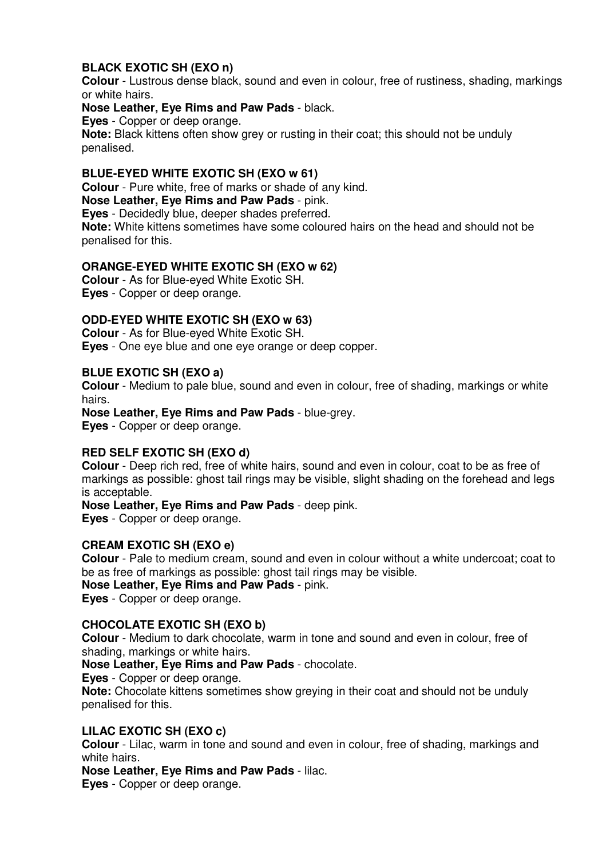# **BLACK EXOTIC SH (EXO n)**

**Colour** - Lustrous dense black, sound and even in colour, free of rustiness, shading, markings or white hairs.

**Nose Leather, Eye Rims and Paw Pads** - black.

**Eyes** - Copper or deep orange.

**Note:** Black kittens often show grey or rusting in their coat; this should not be unduly penalised.

#### **BLUE-EYED WHITE EXOTIC SH (EXO w 61)**

**Colour** - Pure white, free of marks or shade of any kind.

**Nose Leather, Eye Rims and Paw Pads** - pink.

**Eyes** - Decidedly blue, deeper shades preferred.

**Note:** White kittens sometimes have some coloured hairs on the head and should not be penalised for this.

#### **ORANGE-EYED WHITE EXOTIC SH (EXO w 62)**

**Colour** - As for Blue-eyed White Exotic SH. **Eyes** - Copper or deep orange.

# **ODD-EYED WHITE EXOTIC SH (EXO w 63)**

**Colour** - As for Blue-eyed White Exotic SH. **Eyes** - One eye blue and one eye orange or deep copper.

#### **BLUE EXOTIC SH (EXO a)**

**Colour** - Medium to pale blue, sound and even in colour, free of shading, markings or white hairs.

**Nose Leather, Eye Rims and Paw Pads** - blue-grey.

**Eyes** - Copper or deep orange.

# **RED SELF EXOTIC SH (EXO d)**

**Colour** - Deep rich red, free of white hairs, sound and even in colour, coat to be as free of markings as possible: ghost tail rings may be visible, slight shading on the forehead and legs is acceptable.

**Nose Leather, Eye Rims and Paw Pads** - deep pink.

**Eyes** - Copper or deep orange.

### **CREAM EXOTIC SH (EXO e)**

**Colour** - Pale to medium cream, sound and even in colour without a white undercoat; coat to be as free of markings as possible: ghost tail rings may be visible.

**Nose Leather, Eye Rims and Paw Pads** - pink.

**Eyes** - Copper or deep orange.

#### **CHOCOLATE EXOTIC SH (EXO b)**

**Colour** - Medium to dark chocolate, warm in tone and sound and even in colour, free of shading, markings or white hairs.

**Nose Leather, Eye Rims and Paw Pads** - chocolate.

**Eyes** - Copper or deep orange.

**Note:** Chocolate kittens sometimes show greying in their coat and should not be unduly penalised for this.

#### **LILAC EXOTIC SH (EXO c)**

**Colour** - Lilac, warm in tone and sound and even in colour, free of shading, markings and white hairs.

**Nose Leather, Eye Rims and Paw Pads** - lilac.

**Eyes** - Copper or deep orange.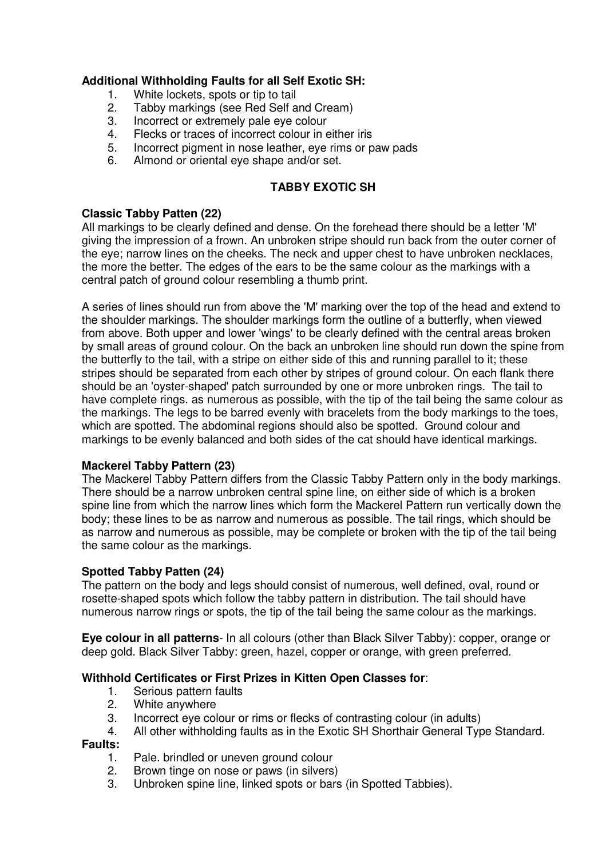# **Additional Withholding Faults for all Self Exotic SH:**

- 1. White lockets, spots or tip to tail<br>2. Tabby markings (see Red Self a
- 2. Tabby markings (see Red Self and Cream)<br>3. Incorrect or extremely pale eve colour
- 3. Incorrect or extremely pale eye colour<br>4. Elecks or traces of incorrect colour in e
- 4. Flecks or traces of incorrect colour in either iris<br>5. Incorrect pigment in nose leather, eve rims or p
- Incorrect pigment in nose leather, eye rims or paw pads
- 6. Almond or oriental eye shape and/or set.

# **TABBY EXOTIC SH**

### **Classic Tabby Patten (22)**

All markings to be clearly defined and dense. On the forehead there should be a letter 'M' giving the impression of a frown. An unbroken stripe should run back from the outer corner of the eye; narrow lines on the cheeks. The neck and upper chest to have unbroken necklaces, the more the better. The edges of the ears to be the same colour as the markings with a central patch of ground colour resembling a thumb print.

A series of lines should run from above the 'M' marking over the top of the head and extend to the shoulder markings. The shoulder markings form the outline of a butterfly, when viewed from above. Both upper and lower 'wings' to be clearly defined with the central areas broken by small areas of ground colour. On the back an unbroken line should run down the spine from the butterfly to the tail, with a stripe on either side of this and running parallel to it; these stripes should be separated from each other by stripes of ground colour. On each flank there should be an 'oyster-shaped' patch surrounded by one or more unbroken rings. The tail to have complete rings. as numerous as possible, with the tip of the tail being the same colour as the markings. The legs to be barred evenly with bracelets from the body markings to the toes, which are spotted. The abdominal regions should also be spotted. Ground colour and markings to be evenly balanced and both sides of the cat should have identical markings.

# **Mackerel Tabby Pattern (23)**

The Mackerel Tabby Pattern differs from the Classic Tabby Pattern only in the body markings. There should be a narrow unbroken central spine line, on either side of which is a broken spine line from which the narrow lines which form the Mackerel Pattern run vertically down the body; these lines to be as narrow and numerous as possible. The tail rings, which should be as narrow and numerous as possible, may be complete or broken with the tip of the tail being the same colour as the markings.

#### **Spotted Tabby Patten (24)**

The pattern on the body and legs should consist of numerous, well defined, oval, round or rosette-shaped spots which follow the tabby pattern in distribution. The tail should have numerous narrow rings or spots, the tip of the tail being the same colour as the markings.

**Eye colour in all patterns**- In all colours (other than Black Silver Tabby): copper, orange or deep gold. Black Silver Tabby: green, hazel, copper or orange, with green preferred.

#### **Withhold Certificates or First Prizes in Kitten Open Classes for**:

- 1. Serious pattern faults<br>2. White anywhere
- White anywhere
- 3. Incorrect eye colour or rims or flecks of contrasting colour (in adults)
- 4. All other withholding faults as in the Exotic SH Shorthair General Type Standard.

#### **Faults:**

- 1. Pale. brindled or uneven ground colour<br>2. Brown tinge on nose or paws (in silvers)
- 2. Brown tinge on nose or paws (in silvers)<br>3. Unbroken spine line, linked spots or bars
- Unbroken spine line, linked spots or bars (in Spotted Tabbies).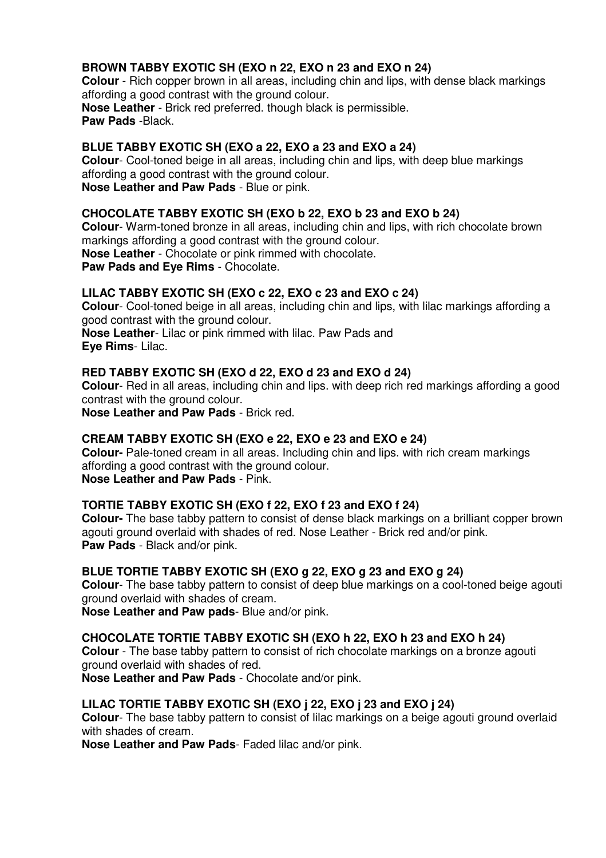# **BROWN TABBY EXOTIC SH (EXO n 22, EXO n 23 and EXO n 24)**

**Colour** - Rich copper brown in all areas, including chin and lips, with dense black markings affording a good contrast with the ground colour. **Nose Leather** - Brick red preferred. though black is permissible. **Paw Pads** -Black.

# **BLUE TABBY EXOTIC SH (EXO a 22, EXO a 23 and EXO a 24)**

**Colour**- Cool-toned beige in all areas, including chin and lips, with deep blue markings affording a good contrast with the ground colour. **Nose Leather and Paw Pads** - Blue or pink.

# **CHOCOLATE TABBY EXOTIC SH (EXO b 22, EXO b 23 and EXO b 24)**

**Colour**- Warm-toned bronze in all areas, including chin and lips, with rich chocolate brown markings affording a good contrast with the ground colour. **Nose Leather** - Chocolate or pink rimmed with chocolate. **Paw Pads and Eye Rims** - Chocolate.

# **LILAC TABBY EXOTIC SH (EXO c 22, EXO c 23 and EXO c 24)**

**Colour**- Cool-toned beige in all areas, including chin and lips, with lilac markings affording a good contrast with the ground colour.

**Nose Leather**- Lilac or pink rimmed with lilac. Paw Pads and **Eye Rims**- Lilac.

# **RED TABBY EXOTIC SH (EXO d 22, EXO d 23 and EXO d 24)**

**Colour**- Red in all areas, including chin and lips. with deep rich red markings affording a good contrast with the ground colour.

**Nose Leather and Paw Pads** - Brick red.

# **CREAM TABBY EXOTIC SH (EXO e 22, EXO e 23 and EXO e 24)**

**Colour-** Pale-toned cream in all areas. Including chin and lips. with rich cream markings affording a good contrast with the ground colour. **Nose Leather and Paw Pads** - Pink.

# **TORTIE TABBY EXOTIC SH (EXO f 22, EXO f 23 and EXO f 24)**

**Colour-** The base tabby pattern to consist of dense black markings on a brilliant copper brown agouti ground overlaid with shades of red. Nose Leather - Brick red and/or pink. **Paw Pads** - Black and/or pink.

# **BLUE TORTIE TABBY EXOTIC SH (EXO g 22, EXO g 23 and EXO g 24)**

**Colour**- The base tabby pattern to consist of deep blue markings on a cool-toned beige agouti ground overlaid with shades of cream.

**Nose Leather and Paw pads**- Blue and/or pink.

# **CHOCOLATE TORTIE TABBY EXOTIC SH (EXO h 22, EXO h 23 and EXO h 24)**

**Colour** - The base tabby pattern to consist of rich chocolate markings on a bronze agouti ground overlaid with shades of red.

**Nose Leather and Paw Pads** - Chocolate and/or pink.

# **LILAC TORTIE TABBY EXOTIC SH (EXO j 22, EXO j 23 and EXO j 24)**

**Colour**- The base tabby pattern to consist of lilac markings on a beige agouti ground overlaid with shades of cream.

**Nose Leather and Paw Pads**- Faded lilac and/or pink.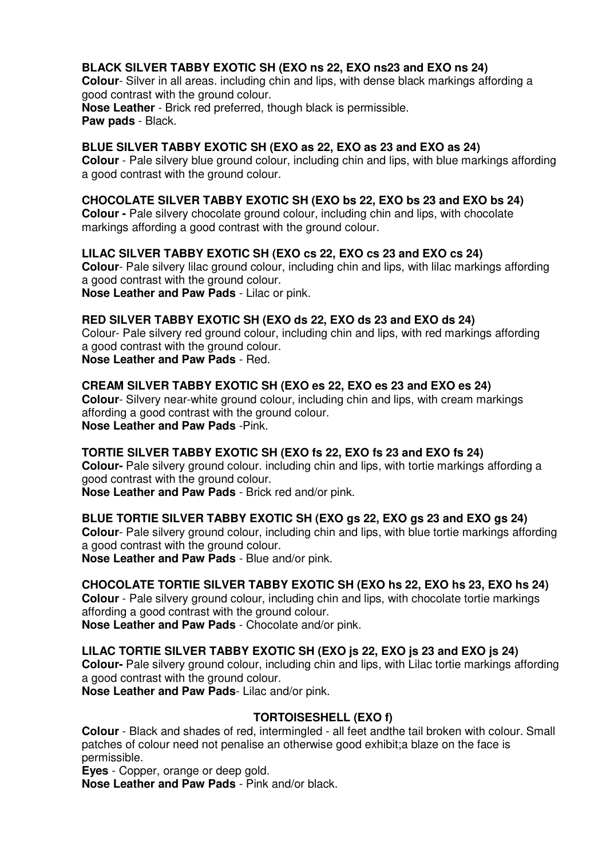# **BLACK SILVER TABBY EXOTIC SH (EXO ns 22, EXO ns23 and EXO ns 24)**

**Colour**- Silver in all areas. including chin and lips, with dense black markings affording a good contrast with the ground colour.

**Nose Leather** - Brick red preferred, though black is permissible. **Paw pads** - Black.

#### **BLUE SILVER TABBY EXOTIC SH (EXO as 22, EXO as 23 and EXO as 24)**

**Colour** - Pale silvery blue ground colour, including chin and lips, with blue markings affording a good contrast with the ground colour.

# **CHOCOLATE SILVER TABBY EXOTIC SH (EXO bs 22, EXO bs 23 and EXO bs 24)**

**Colour -** Pale silvery chocolate ground colour, including chin and lips, with chocolate markings affording a good contrast with the ground colour.

# **LILAC SILVER TABBY EXOTIC SH (EXO cs 22, EXO cs 23 and EXO cs 24)**

**Colour**- Pale silvery lilac ground colour, including chin and lips, with lilac markings affording a good contrast with the ground colour. **Nose Leather and Paw Pads** - Lilac or pink.

#### **RED SILVER TABBY EXOTIC SH (EXO ds 22, EXO ds 23 and EXO ds 24)**

Colour- Pale silvery red ground colour, including chin and lips, with red markings affording a good contrast with the ground colour. **Nose Leather and Paw Pads** - Red.

# **CREAM SILVER TABBY EXOTIC SH (EXO es 22, EXO es 23 and EXO es 24)**

**Colour**- Silvery near-white ground colour, including chin and lips, with cream markings affording a good contrast with the ground colour. **Nose Leather and Paw Pads** -Pink.

# **TORTIE SILVER TABBY EXOTIC SH (EXO fs 22, EXO fs 23 and EXO fs 24)**

**Colour-** Pale silvery ground colour. including chin and lips, with tortie markings affording a good contrast with the ground colour.

**Nose Leather and Paw Pads** - Brick red and/or pink.

#### **BLUE TORTIE SILVER TABBY EXOTIC SH (EXO gs 22, EXO gs 23 and EXO gs 24)**

**Colour**- Pale silvery ground colour, including chin and lips, with blue tortie markings affording a good contrast with the ground colour.

**Nose Leather and Paw Pads** - Blue and/or pink.

# **CHOCOLATE TORTIE SILVER TABBY EXOTIC SH (EXO hs 22, EXO hs 23, EXO hs 24)**

**Colour** - Pale silvery ground colour, including chin and lips, with chocolate tortie markings affording a good contrast with the ground colour.

**Nose Leather and Paw Pads** - Chocolate and/or pink.

#### **LILAC TORTIE SILVER TABBY EXOTIC SH (EXO js 22, EXO js 23 and EXO js 24)**

**Colour-** Pale silvery ground colour, including chin and lips, with Lilac tortie markings affording a good contrast with the ground colour.

**Nose Leather and Paw Pads**- Lilac and/or pink.

# **TORTOISESHELL (EXO f)**

**Colour** - Black and shades of red, intermingled - all feet andthe tail broken with colour. Small patches of colour need not penalise an otherwise good exhibit;a blaze on the face is permissible.

**Eyes** - Copper, orange or deep gold.

**Nose Leather and Paw Pads** - Pink and/or black.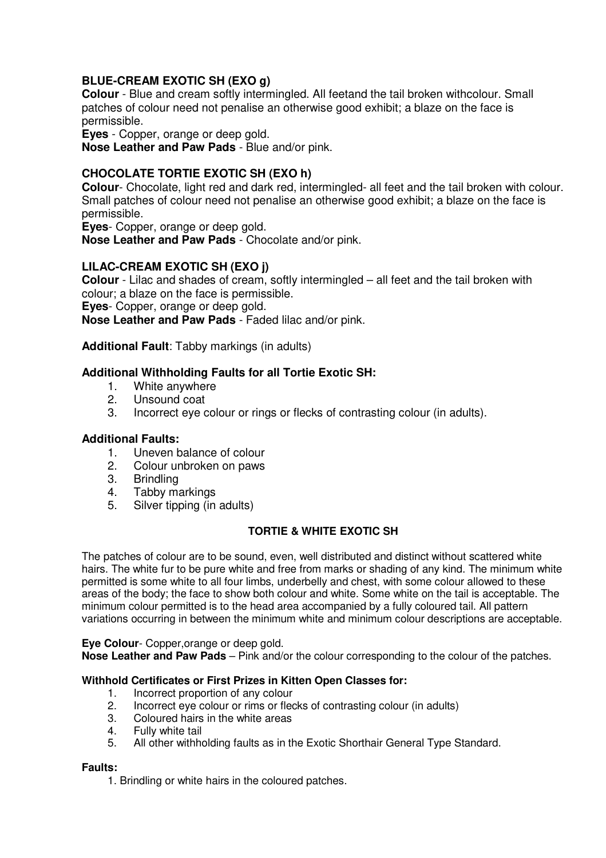# **BLUE-CREAM EXOTIC SH (EXO g)**

**Colour** - Blue and cream softly intermingled. All feetand the tail broken withcolour. Small patches of colour need not penalise an otherwise good exhibit; a blaze on the face is permissible.

**Eyes** - Copper, orange or deep gold.

**Nose Leather and Paw Pads** - Blue and/or pink.

# **CHOCOLATE TORTIE EXOTIC SH (EXO h)**

**Colour**- Chocolate, light red and dark red, intermingled- all feet and the tail broken with colour. Small patches of colour need not penalise an otherwise good exhibit; a blaze on the face is permissible.

**Eyes**- Copper, orange or deep gold.

**Nose Leather and Paw Pads** - Chocolate and/or pink.

# **LILAC-CREAM EXOTIC SH (EXO j)**

**Colour** - Lilac and shades of cream, softly intermingled – all feet and the tail broken with colour; a blaze on the face is permissible.

**Eyes**- Copper, orange or deep gold.

**Nose Leather and Paw Pads** - Faded lilac and/or pink.

**Additional Fault**: Tabby markings (in adults)

#### **Additional Withholding Faults for all Tortie Exotic SH:**

- 1. White anywhere<br>2. **Unsound coat**
- Unsound coat
- 3. Incorrect eye colour or rings or flecks of contrasting colour (in adults).

#### **Additional Faults:**

- 1. Uneven balance of colour<br>2. Colour unbroken on paws
- 2. Colour unbroken on paws
- 3. Brindling<br>4. Tabby ma
- Tabby markings
- 5. Silver tipping (in adults)

#### **TORTIE & WHITE EXOTIC SH**

The patches of colour are to be sound, even, well distributed and distinct without scattered white hairs. The white fur to be pure white and free from marks or shading of any kind. The minimum white permitted is some white to all four limbs, underbelly and chest, with some colour allowed to these areas of the body; the face to show both colour and white. Some white on the tail is acceptable. The minimum colour permitted is to the head area accompanied by a fully coloured tail. All pattern variations occurring in between the minimum white and minimum colour descriptions are acceptable.

#### **Eye Colour**- Copper,orange or deep gold.

**Nose Leather and Paw Pads** – Pink and/or the colour corresponding to the colour of the patches.

#### **Withhold Certificates or First Prizes in Kitten Open Classes for:**

- 1. Incorrect proportion of any colour
- 2. Incorrect eye colour or rims or flecks of contrasting colour (in adults)<br>3. Coloured hairs in the white areas
- 3. Coloured hairs in the white areas<br>4. Fully white tail
- 4. Fully white tail<br>5. All other withhe
- All other withholding faults as in the Exotic Shorthair General Type Standard.

#### **Faults:**

1. Brindling or white hairs in the coloured patches.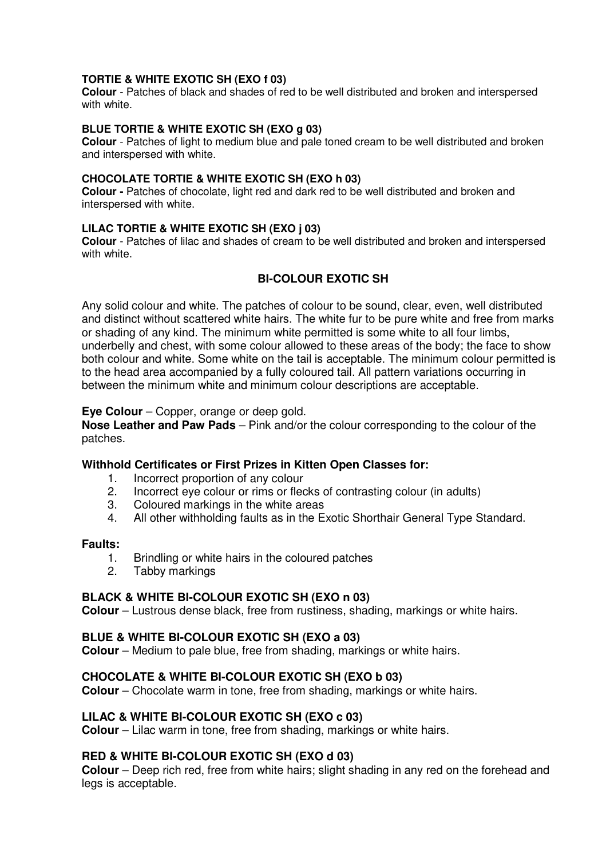#### **TORTIE & WHITE EXOTIC SH (EXO f 03)**

**Colour** - Patches of black and shades of red to be well distributed and broken and interspersed with white.

#### **BLUE TORTIE & WHITE EXOTIC SH (EXO g 03)**

**Colour** - Patches of light to medium blue and pale toned cream to be well distributed and broken and interspersed with white.

#### **CHOCOLATE TORTIE & WHITE EXOTIC SH (EXO h 03)**

**Colour -** Patches of chocolate, light red and dark red to be well distributed and broken and interspersed with white.

#### **LILAC TORTIE & WHITE EXOTIC SH (EXO j 03)**

**Colour** - Patches of lilac and shades of cream to be well distributed and broken and interspersed with white.

# **BI-COLOUR EXOTIC SH**

Any solid colour and white. The patches of colour to be sound, clear, even, well distributed and distinct without scattered white hairs. The white fur to be pure white and free from marks or shading of any kind. The minimum white permitted is some white to all four limbs, underbelly and chest, with some colour allowed to these areas of the body; the face to show both colour and white. Some white on the tail is acceptable. The minimum colour permitted is to the head area accompanied by a fully coloured tail. All pattern variations occurring in between the minimum white and minimum colour descriptions are acceptable.

#### **Eye Colour** – Copper, orange or deep gold.

**Nose Leather and Paw Pads** – Pink and/or the colour corresponding to the colour of the patches.

# **Withhold Certificates or First Prizes in Kitten Open Classes for:**

- 1. Incorrect proportion of any colour<br>2. Incorrect eve colour or rims or flee
- 2. Incorrect eye colour or rims or flecks of contrasting colour (in adults)<br>3. Coloured markings in the white areas
- Coloured markings in the white areas
- 4. All other withholding faults as in the Exotic Shorthair General Type Standard.

# **Faults:**

- 1. Brindling or white hairs in the coloured patches<br>2. Tabby markings
- Tabby markings

#### **BLACK & WHITE BI-COLOUR EXOTIC SH (EXO n 03)**

**Colour** – Lustrous dense black, free from rustiness, shading, markings or white hairs.

#### **BLUE & WHITE BI-COLOUR EXOTIC SH (EXO a 03)**

**Colour** – Medium to pale blue, free from shading, markings or white hairs.

#### **CHOCOLATE & WHITE BI-COLOUR EXOTIC SH (EXO b 03)**

**Colour** – Chocolate warm in tone, free from shading, markings or white hairs.

# **LILAC & WHITE BI-COLOUR EXOTIC SH (EXO c 03)**

**Colour** – Lilac warm in tone, free from shading, markings or white hairs.

# **RED & WHITE BI-COLOUR EXOTIC SH (EXO d 03)**

**Colour** – Deep rich red, free from white hairs; slight shading in any red on the forehead and legs is acceptable.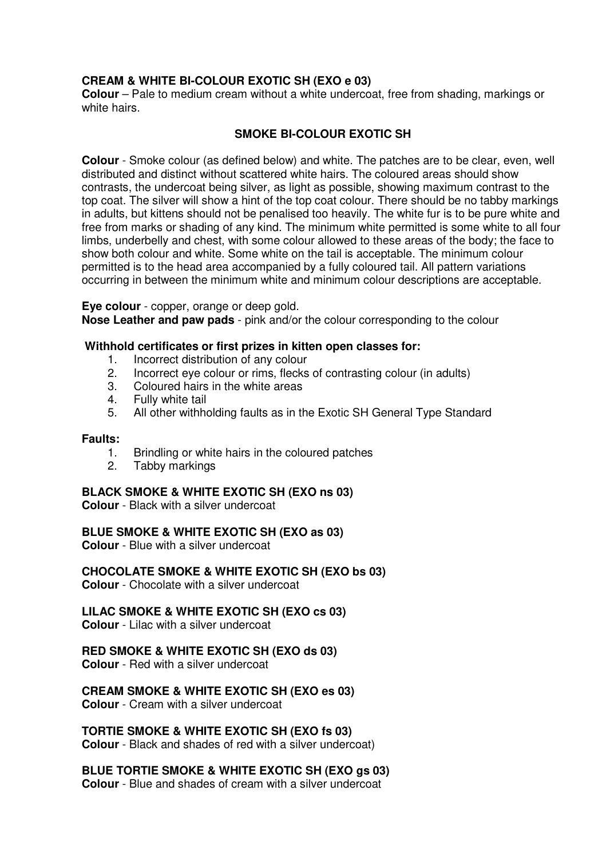# **CREAM & WHITE BI-COLOUR EXOTIC SH (EXO e 03)**

**Colour** – Pale to medium cream without a white undercoat, free from shading, markings or white hairs.

# **SMOKE BI-COLOUR EXOTIC SH**

**Colour** - Smoke colour (as defined below) and white. The patches are to be clear, even, well distributed and distinct without scattered white hairs. The coloured areas should show contrasts, the undercoat being silver, as light as possible, showing maximum contrast to the top coat. The silver will show a hint of the top coat colour. There should be no tabby markings in adults, but kittens should not be penalised too heavily. The white fur is to be pure white and free from marks or shading of any kind. The minimum white permitted is some white to all four limbs, underbelly and chest, with some colour allowed to these areas of the body; the face to show both colour and white. Some white on the tail is acceptable. The minimum colour permitted is to the head area accompanied by a fully coloured tail. All pattern variations occurring in between the minimum white and minimum colour descriptions are acceptable.

**Eye colour** - copper, orange or deep gold.

**Nose Leather and paw pads** - pink and/or the colour corresponding to the colour

# **Withhold certificates or first prizes in kitten open classes for:**

- 1. Incorrect distribution of any colour<br>2. Incorrect eve colour or rims. flecks
- Incorrect eye colour or rims, flecks of contrasting colour (in adults)
- 3. Coloured hairs in the white areas  $\frac{d}{dx}$  Fully white tail
- Fully white tail
- 5. All other withholding faults as in the Exotic SH General Type Standard

#### **Faults:**

- 1. Brindling or white hairs in the coloured patches
- 2. Tabby markings

#### **BLACK SMOKE & WHITE EXOTIC SH (EXO ns 03)**

**Colour** - Black with a silver undercoat

**BLUE SMOKE & WHITE EXOTIC SH (EXO as 03)** 

**Colour** - Blue with a silver undercoat

**CHOCOLATE SMOKE & WHITE EXOTIC SH (EXO bs 03)**

**Colour** - Chocolate with a silver undercoat

#### **LILAC SMOKE & WHITE EXOTIC SH (EXO cs 03)**

**Colour** - Lilac with a silver undercoat

#### **RED SMOKE & WHITE EXOTIC SH (EXO ds 03)**

**Colour** - Red with a silver undercoat

#### **CREAM SMOKE & WHITE EXOTIC SH (EXO es 03)**

**Colour** - Cream with a silver undercoat

#### **TORTIE SMOKE & WHITE EXOTIC SH (EXO fs 03)**

**Colour** - Black and shades of red with a silver undercoat)

#### **BLUE TORTIE SMOKE & WHITE EXOTIC SH (EXO gs 03)**

**Colour** - Blue and shades of cream with a silver undercoat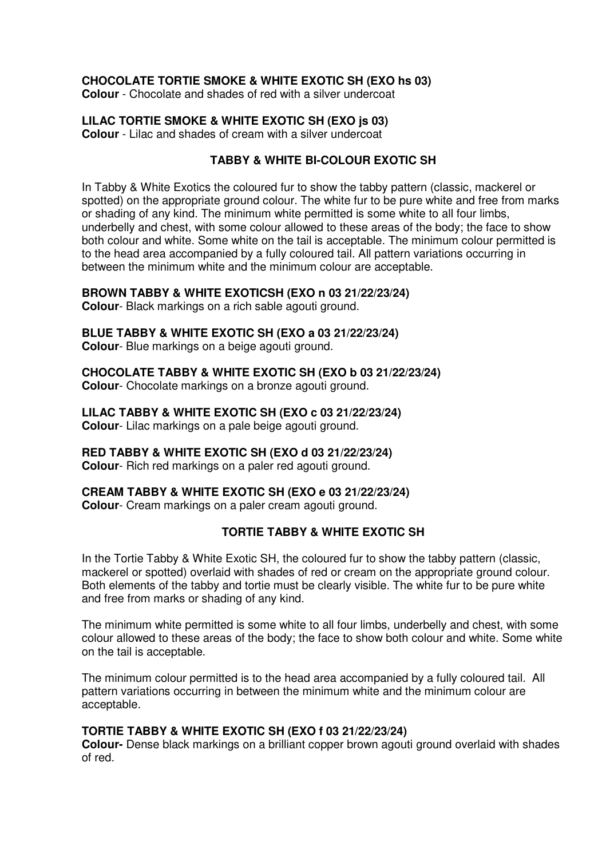# **CHOCOLATE TORTIE SMOKE & WHITE EXOTIC SH (EXO hs 03)**

**Colour** - Chocolate and shades of red with a silver undercoat

# **LILAC TORTIE SMOKE & WHITE EXOTIC SH (EXO js 03)**

**Colour** - Lilac and shades of cream with a silver undercoat

# **TABBY & WHITE BI-COLOUR EXOTIC SH**

In Tabby & White Exotics the coloured fur to show the tabby pattern (classic, mackerel or spotted) on the appropriate ground colour. The white fur to be pure white and free from marks or shading of any kind. The minimum white permitted is some white to all four limbs, underbelly and chest, with some colour allowed to these areas of the body; the face to show both colour and white. Some white on the tail is acceptable. The minimum colour permitted is to the head area accompanied by a fully coloured tail. All pattern variations occurring in between the minimum white and the minimum colour are acceptable.

# **BROWN TABBY & WHITE EXOTICSH (EXO n 03 21/22/23/24)**

**Colour**- Black markings on a rich sable agouti ground.

# **BLUE TABBY & WHITE EXOTIC SH (EXO a 03 21/22/23/24)**

**Colour**- Blue markings on a beige agouti ground.

# **CHOCOLATE TABBY & WHITE EXOTIC SH (EXO b 03 21/22/23/24)**

**Colour**- Chocolate markings on a bronze agouti ground.

**LILAC TABBY & WHITE EXOTIC SH (EXO c 03 21/22/23/24) Colour**- Lilac markings on a pale beige agouti ground.

# **RED TABBY & WHITE EXOTIC SH (EXO d 03 21/22/23/24)**

**Colour**- Rich red markings on a paler red agouti ground.

**CREAM TABBY & WHITE EXOTIC SH (EXO e 03 21/22/23/24) Colour**- Cream markings on a paler cream agouti ground.

# **TORTIE TABBY & WHITE EXOTIC SH**

In the Tortie Tabby & White Exotic SH, the coloured fur to show the tabby pattern (classic, mackerel or spotted) overlaid with shades of red or cream on the appropriate ground colour. Both elements of the tabby and tortie must be clearly visible. The white fur to be pure white and free from marks or shading of any kind.

The minimum white permitted is some white to all four limbs, underbelly and chest, with some colour allowed to these areas of the body; the face to show both colour and white. Some white on the tail is acceptable.

The minimum colour permitted is to the head area accompanied by a fully coloured tail. All pattern variations occurring in between the minimum white and the minimum colour are acceptable.

# **TORTIE TABBY & WHITE EXOTIC SH (EXO f 03 21/22/23/24)**

**Colour-** Dense black markings on a brilliant copper brown agouti ground overlaid with shades of red.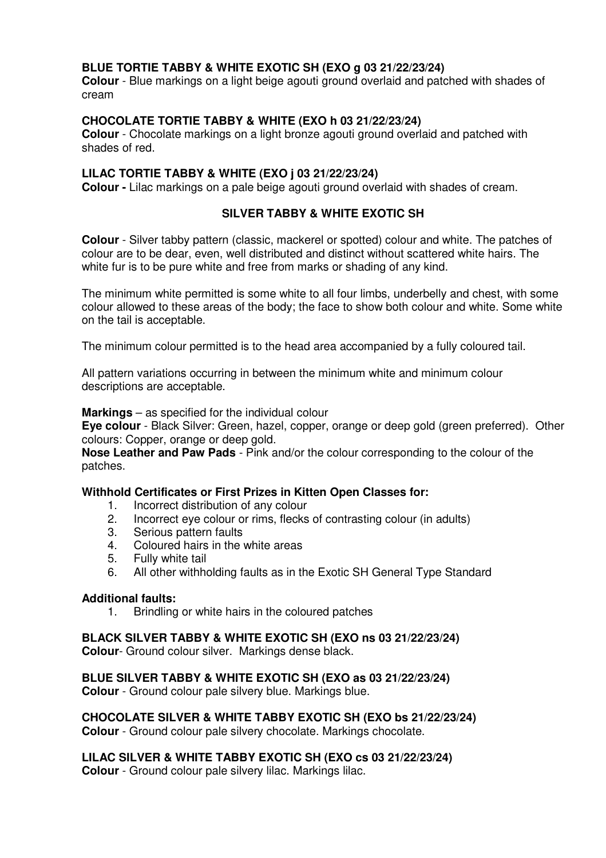# **BLUE TORTIE TABBY & WHITE EXOTIC SH (EXO g 03 21/22/23/24)**

**Colour** - Blue markings on a light beige agouti ground overlaid and patched with shades of cream

### **CHOCOLATE TORTIE TABBY & WHITE (EXO h 03 21/22/23/24)**

**Colour** - Chocolate markings on a light bronze agouti ground overlaid and patched with shades of red.

#### **LILAC TORTIE TABBY & WHITE (EXO j 03 21/22/23/24)**

**Colour -** Lilac markings on a pale beige agouti ground overlaid with shades of cream.

# **SILVER TABBY & WHITE EXOTIC SH**

**Colour** - Silver tabby pattern (classic, mackerel or spotted) colour and white. The patches of colour are to be dear, even, well distributed and distinct without scattered white hairs. The white fur is to be pure white and free from marks or shading of any kind.

The minimum white permitted is some white to all four limbs, underbelly and chest, with some colour allowed to these areas of the body; the face to show both colour and white. Some white on the tail is acceptable.

The minimum colour permitted is to the head area accompanied by a fully coloured tail.

All pattern variations occurring in between the minimum white and minimum colour descriptions are acceptable.

**Markings** – as specified for the individual colour

**Eye colour** - Black Silver: Green, hazel, copper, orange or deep gold (green preferred). Other colours: Copper, orange or deep gold.

**Nose Leather and Paw Pads** - Pink and/or the colour corresponding to the colour of the patches.

#### **Withhold Certificates or First Prizes in Kitten Open Classes for:**

- 1. Incorrect distribution of any colour<br>2. Incorrect eye colour or rims, flecks
- 2. Incorrect eye colour or rims, flecks of contrasting colour (in adults)<br>3. Serious pattern faults
- 3. Serious pattern faults<br>4. Coloured hairs in the
- 4. Coloured hairs in the white areas
- 5. Fully white tail
- 6. All other withholding faults as in the Exotic SH General Type Standard

#### **Additional faults:**

1. Brindling or white hairs in the coloured patches

**BLACK SILVER TABBY & WHITE EXOTIC SH (EXO ns 03 21/22/23/24)** 

**Colour**- Ground colour silver. Markings dense black.

**BLUE SILVER TABBY & WHITE EXOTIC SH (EXO as 03 21/22/23/24) Colour** - Ground colour pale silvery blue. Markings blue.

**CHOCOLATE SILVER & WHITE TABBY EXOTIC SH (EXO bs 21/22/23/24) Colour** - Ground colour pale silvery chocolate. Markings chocolate.

**LILAC SILVER & WHITE TABBY EXOTIC SH (EXO cs 03 21/22/23/24)** 

**Colour** - Ground colour pale silvery lilac. Markings lilac.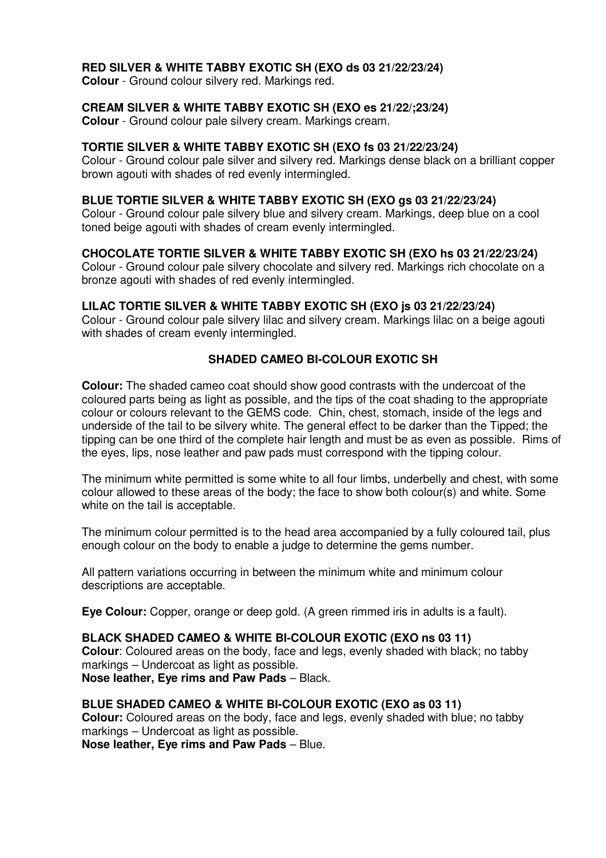# **RED SILVER & WHITE TABBY EXOTIC SH (EXO ds 03 21/22/23/24)**

**Colour** - Ground colour silvery red. Markings red.

# **CREAM SILVER & WHITE TABBY EXOTIC SH (EXO es 21/22/;23/24)**

**Colour** - Ground colour pale silvery cream. Markings cream.

### **TORTIE SILVER & WHITE TABBY EXOTIC SH (EXO fs 03 21/22/23/24)**

Colour - Ground colour pale silver and silvery red. Markings dense black on a brilliant copper brown agouti with shades of red evenly intermingled.

#### **BLUE TORTIE SILVER & WHITE TABBY EXOTIC SH (EXO gs 03 21/22/23/24)**

Colour - Ground colour pale silvery blue and silvery cream. Markings, deep blue on a cool toned beige agouti with shades of cream evenly intermingled.

# **CHOCOLATE TORTIE SILVER & WHITE TABBY EXOTIC SH (EXO hs 03 21/22/23/24)**

Colour - Ground colour pale silvery chocolate and silvery red. Markings rich chocolate on a bronze agouti with shades of red evenly intermingled.

#### **LILAC TORTIE SILVER & WHITE TABBY EXOTIC SH (EXO js 03 21/22/23/24)**

Colour - Ground colour pale silvery lilac and silvery cream. Markings lilac on a beige agouti with shades of cream evenly intermingled.

# **SHADED CAMEO BI-COLOUR EXOTIC SH**

**Colour:** The shaded cameo coat should show good contrasts with the undercoat of the coloured parts being as light as possible, and the tips of the coat shading to the appropriate colour or colours relevant to the GEMS code. Chin, chest, stomach, inside of the legs and underside of the tail to be silvery white. The general effect to be darker than the Tipped; the tipping can be one third of the complete hair length and must be as even as possible. Rims of the eyes, lips, nose leather and paw pads must correspond with the tipping colour.

The minimum white permitted is some white to all four limbs, underbelly and chest, with some colour allowed to these areas of the body; the face to show both colour(s) and white. Some white on the tail is acceptable.

The minimum colour permitted is to the head area accompanied by a fully coloured tail, plus enough colour on the body to enable a judge to determine the gems number.

All pattern variations occurring in between the minimum white and minimum colour descriptions are acceptable.

**Eye Colour:** Copper, orange or deep gold. (A green rimmed iris in adults is a fault).

# **BLACK SHADED CAMEO & WHITE BI-COLOUR EXOTIC (EXO ns 03 11)**

**Colour**: Coloured areas on the body, face and legs, evenly shaded with black; no tabby markings – Undercoat as light as possible. **Nose leather, Eye rims and Paw Pads** – Black.

#### **BLUE SHADED CAMEO & WHITE BI-COLOUR EXOTIC (EXO as 03 11)**

**Colour:** Coloured areas on the body, face and legs, evenly shaded with blue; no tabby markings – Undercoat as light as possible.

**Nose leather, Eye rims and Paw Pads** – Blue.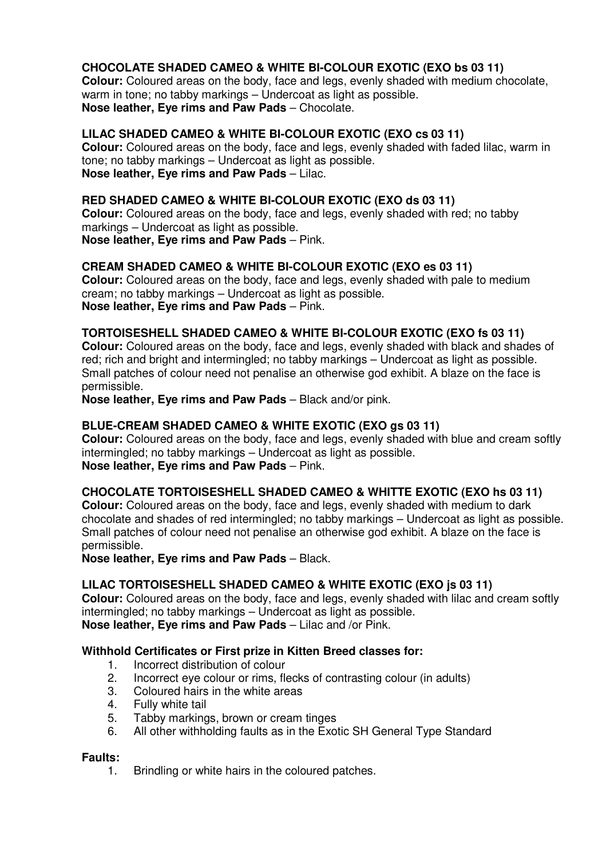# **CHOCOLATE SHADED CAMEO & WHITE BI-COLOUR EXOTIC (EXO bs 03 11)**

**Colour:** Coloured areas on the body, face and legs, evenly shaded with medium chocolate, warm in tone; no tabby markings – Undercoat as light as possible. **Nose leather, Eye rims and Paw Pads** – Chocolate.

#### **LILAC SHADED CAMEO & WHITE BI-COLOUR EXOTIC (EXO cs 03 11)**

**Colour:** Coloured areas on the body, face and legs, evenly shaded with faded lilac, warm in tone; no tabby markings – Undercoat as light as possible. **Nose leather, Eye rims and Paw Pads** – Lilac.

#### **RED SHADED CAMEO & WHITE BI-COLOUR EXOTIC (EXO ds 03 11)**

**Colour:** Coloured areas on the body, face and legs, evenly shaded with red; no tabby markings – Undercoat as light as possible. **Nose leather, Eye rims and Paw Pads** – Pink.

#### **CREAM SHADED CAMEO & WHITE BI-COLOUR EXOTIC (EXO es 03 11)**

**Colour:** Coloured areas on the body, face and legs, evenly shaded with pale to medium cream; no tabby markings – Undercoat as light as possible. **Nose leather, Eye rims and Paw Pads** – Pink.

#### **TORTOISESHELL SHADED CAMEO & WHITE BI-COLOUR EXOTIC (EXO fs 03 11)**

**Colour:** Coloured areas on the body, face and legs, evenly shaded with black and shades of red; rich and bright and intermingled; no tabby markings – Undercoat as light as possible. Small patches of colour need not penalise an otherwise god exhibit. A blaze on the face is permissible.

**Nose leather, Eye rims and Paw Pads** – Black and/or pink.

#### **BLUE-CREAM SHADED CAMEO & WHITE EXOTIC (EXO gs 03 11)**

**Colour:** Coloured areas on the body, face and legs, evenly shaded with blue and cream softly intermingled; no tabby markings – Undercoat as light as possible. **Nose leather, Eye rims and Paw Pads** – Pink.

#### **CHOCOLATE TORTOISESHELL SHADED CAMEO & WHITTE EXOTIC (EXO hs 03 11)**

**Colour:** Coloured areas on the body, face and legs, evenly shaded with medium to dark chocolate and shades of red intermingled; no tabby markings – Undercoat as light as possible. Small patches of colour need not penalise an otherwise god exhibit. A blaze on the face is permissible.

**Nose leather, Eye rims and Paw Pads** – Black.

#### **LILAC TORTOISESHELL SHADED CAMEO & WHITE EXOTIC (EXO js 03 11)**

**Colour:** Coloured areas on the body, face and legs, evenly shaded with lilac and cream softly intermingled; no tabby markings – Undercoat as light as possible. **Nose leather, Eye rims and Paw Pads** – Lilac and /or Pink.

#### **Withhold Certificates or First prize in Kitten Breed classes for:**

- 1. Incorrect distribution of colour<br>2. Incorrect eve colour or rims. fle
- 2. Incorrect eye colour or rims, flecks of contrasting colour (in adults)
- 3. Coloured hairs in the white areas  $\frac{4}{5}$  Fully white tail
- 4. Fully white tail<br>5. Tabby marking
- 5. Tabby markings, brown or cream tinges<br>6. All other withholding faults as in the Exot
- 6. All other withholding faults as in the Exotic SH General Type Standard

# **Faults:**

Brindling or white hairs in the coloured patches.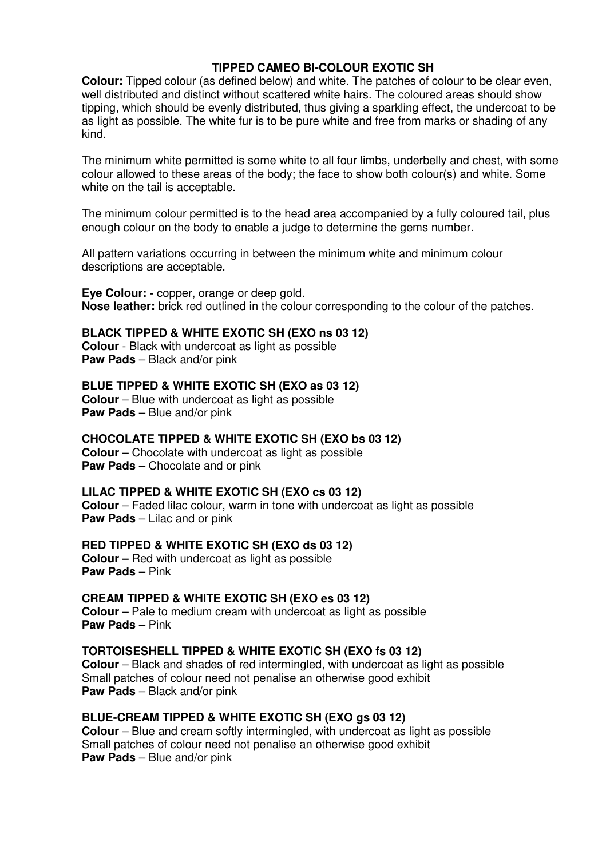# **TIPPED CAMEO BI-COLOUR EXOTIC SH**

**Colour:** Tipped colour (as defined below) and white. The patches of colour to be clear even, well distributed and distinct without scattered white hairs. The coloured areas should show tipping, which should be evenly distributed, thus giving a sparkling effect, the undercoat to be as light as possible. The white fur is to be pure white and free from marks or shading of any kind<sup>1</sup>

The minimum white permitted is some white to all four limbs, underbelly and chest, with some colour allowed to these areas of the body; the face to show both colour(s) and white. Some white on the tail is acceptable.

The minimum colour permitted is to the head area accompanied by a fully coloured tail, plus enough colour on the body to enable a judge to determine the gems number.

All pattern variations occurring in between the minimum white and minimum colour descriptions are acceptable.

**Eye Colour: -** copper, orange or deep gold. **Nose leather:** brick red outlined in the colour corresponding to the colour of the patches.

# **BLACK TIPPED & WHITE EXOTIC SH (EXO ns 03 12)**

**Colour** - Black with undercoat as light as possible **Paw Pads** – Black and/or pink

**BLUE TIPPED & WHITE EXOTIC SH (EXO as 03 12) Colour** – Blue with undercoat as light as possible **Paw Pads** – Blue and/or pink

**CHOCOLATE TIPPED & WHITE EXOTIC SH (EXO bs 03 12)** 

**Colour** – Chocolate with undercoat as light as possible **Paw Pads** – Chocolate and or pink

**LILAC TIPPED & WHITE EXOTIC SH (EXO cs 03 12)** 

**Colour** – Faded lilac colour, warm in tone with undercoat as light as possible **Paw Pads** – Lilac and or pink

**RED TIPPED & WHITE EXOTIC SH (EXO ds 03 12)** 

**Colour –** Red with undercoat as light as possible **Paw Pads** – Pink

**CREAM TIPPED & WHITE EXOTIC SH (EXO es 03 12)** 

**Colour** – Pale to medium cream with undercoat as light as possible **Paw Pads** – Pink

#### **TORTOISESHELL TIPPED & WHITE EXOTIC SH (EXO fs 03 12)**

**Colour** – Black and shades of red intermingled, with undercoat as light as possible Small patches of colour need not penalise an otherwise good exhibit **Paw Pads** – Black and/or pink

#### **BLUE-CREAM TIPPED & WHITE EXOTIC SH (EXO gs 03 12)**

**Colour** – Blue and cream softly intermingled, with undercoat as light as possible Small patches of colour need not penalise an otherwise good exhibit **Paw Pads** – Blue and/or pink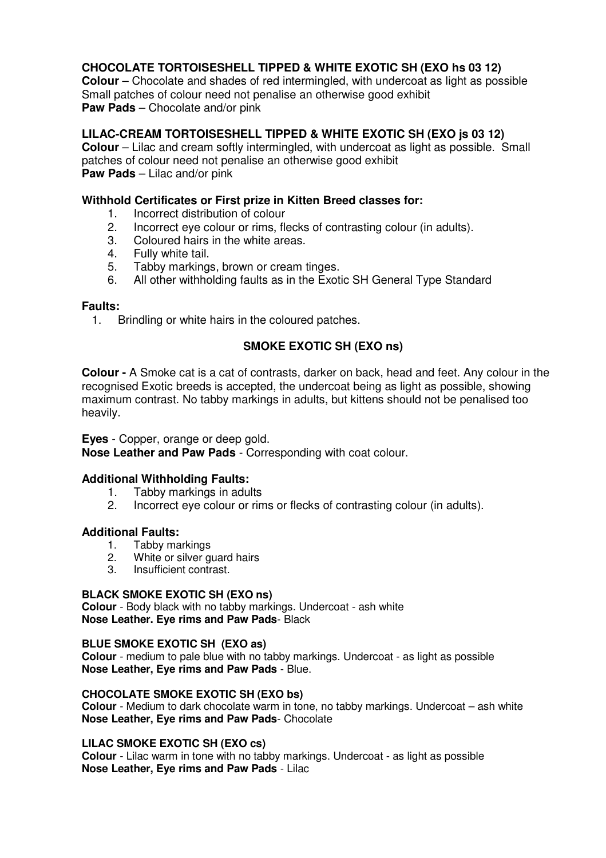# **CHOCOLATE TORTOISESHELL TIPPED & WHITE EXOTIC SH (EXO hs 03 12)**

**Colour** – Chocolate and shades of red intermingled, with undercoat as light as possible Small patches of colour need not penalise an otherwise good exhibit **Paw Pads** – Chocolate and/or pink

### **LILAC-CREAM TORTOISESHELL TIPPED & WHITE EXOTIC SH (EXO js 03 12)**

**Colour** – Lilac and cream softly intermingled, with undercoat as light as possible. Small patches of colour need not penalise an otherwise good exhibit **Paw Pads** – Lilac and/or pink

#### **Withhold Certificates or First prize in Kitten Breed classes for:**

- 1. Incorrect distribution of colour<br>2. Incorrect eve colour or rims, fle
- 2. Incorrect eye colour or rims, flecks of contrasting colour (in adults).<br>3. Coloured hairs in the white areas
- 3. Coloured hairs in the white areas.<br> $\frac{A}{I}$  Fully white tail
- 4. Fully white tail.
- 5. Tabby markings, brown or cream tinges.<br>6. All other withholding faults as in the Exot
- All other withholding faults as in the Exotic SH General Type Standard

#### **Faults:**

1. Brindling or white hairs in the coloured patches.

# **SMOKE EXOTIC SH (EXO ns)**

**Colour -** A Smoke cat is a cat of contrasts, darker on back, head and feet. Any colour in the recognised Exotic breeds is accepted, the undercoat being as light as possible, showing maximum contrast. No tabby markings in adults, but kittens should not be penalised too heavily.

**Eyes** - Copper, orange or deep gold.

**Nose Leather and Paw Pads** - Corresponding with coat colour.

#### **Additional Withholding Faults:**

- 1. Tabby markings in adults
- 2. Incorrect eye colour or rims or flecks of contrasting colour (in adults).

# **Additional Faults:**

- 1. Tabby markings
- 2. White or silver guard hairs
- 3. Insufficient contrast.

#### **BLACK SMOKE EXOTIC SH (EXO ns)**

**Colour** - Body black with no tabby markings. Undercoat - ash white **Nose Leather. Eye rims and Paw Pads**- Black

#### **BLUE SMOKE EXOTIC SH (EXO as)**

**Colour** - medium to pale blue with no tabby markings. Undercoat - as light as possible **Nose Leather, Eye rims and Paw Pads** - Blue.

#### **CHOCOLATE SMOKE EXOTIC SH (EXO bs)**

**Colour** - Medium to dark chocolate warm in tone, no tabby markings. Undercoat – ash white **Nose Leather, Eye rims and Paw Pads**- Chocolate

#### **LILAC SMOKE EXOTIC SH (EXO cs)**

**Colour** - Lilac warm in tone with no tabby markings. Undercoat - as light as possible **Nose Leather, Eye rims and Paw Pads** - Lilac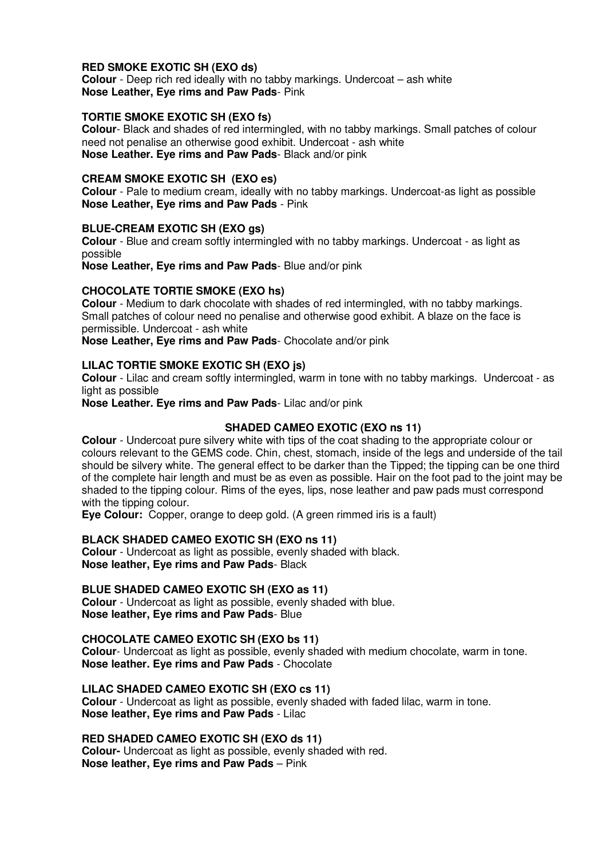#### **RED SMOKE EXOTIC SH (EXO ds)**

**Colour** - Deep rich red ideally with no tabby markings. Undercoat – ash white **Nose Leather, Eye rims and Paw Pads**- Pink

#### **TORTIE SMOKE EXOTIC SH (EXO fs)**

**Colour**- Black and shades of red intermingled, with no tabby markings. Small patches of colour need not penalise an otherwise good exhibit. Undercoat - ash white **Nose Leather. Eye rims and Paw Pads**- Black and/or pink

#### **CREAM SMOKE EXOTIC SH (EXO es)**

**Colour** - Pale to medium cream, ideally with no tabby markings. Undercoat-as light as possible **Nose Leather, Eye rims and Paw Pads** - Pink

#### **BLUE-CREAM EXOTIC SH (EXO gs)**

**Colour** - Blue and cream softly intermingled with no tabby markings. Undercoat - as light as possible

**Nose Leather, Eye rims and Paw Pads**- Blue and/or pink

### **CHOCOLATE TORTIE SMOKE (EXO hs)**

**Colour** - Medium to dark chocolate with shades of red intermingled, with no tabby markings. Small patches of colour need no penalise and otherwise good exhibit. A blaze on the face is permissible. Undercoat - ash white

**Nose Leather, Eye rims and Paw Pads**- Chocolate and/or pink

#### **LILAC TORTIE SMOKE EXOTIC SH (EXO js)**

**Colour** - Lilac and cream softly intermingled, warm in tone with no tabby markings. Undercoat - as light as possible

**Nose Leather. Eye rims and Paw Pads**- Lilac and/or pink

#### **SHADED CAMEO EXOTIC (EXO ns 11)**

**Colour** - Undercoat pure silvery white with tips of the coat shading to the appropriate colour or colours relevant to the GEMS code. Chin, chest, stomach, inside of the legs and underside of the tail should be silvery white. The general effect to be darker than the Tipped; the tipping can be one third of the complete hair length and must be as even as possible. Hair on the foot pad to the joint may be shaded to the tipping colour. Rims of the eyes, lips, nose leather and paw pads must correspond with the tipping colour.

**Eye Colour:** Copper, orange to deep gold. (A green rimmed iris is a fault)

#### **BLACK SHADED CAMEO EXOTIC SH (EXO ns 11)**

**Colour** - Undercoat as light as possible, evenly shaded with black. **Nose leather, Eye rims and Paw Pads**- Black

#### **BLUE SHADED CAMEO EXOTIC SH (EXO as 11)**

**Colour** - Undercoat as light as possible, evenly shaded with blue. **Nose leather, Eye rims and Paw Pads**- Blue

#### **CHOCOLATE CAMEO EXOTIC SH (EXO bs 11)**

**Colour**- Undercoat as light as possible, evenly shaded with medium chocolate, warm in tone. **Nose leather. Eye rims and Paw Pads** - Chocolate

#### **LILAC SHADED CAMEO EXOTIC SH (EXO cs 11)**

**Colour** - Undercoat as light as possible, evenly shaded with faded lilac, warm in tone. **Nose leather, Eye rims and Paw Pads** - Lilac

#### **RED SHADED CAMEO EXOTIC SH (EXO ds 11)**

**Colour-** Undercoat as light as possible, evenly shaded with red. **Nose leather, Eye rims and Paw Pads** – Pink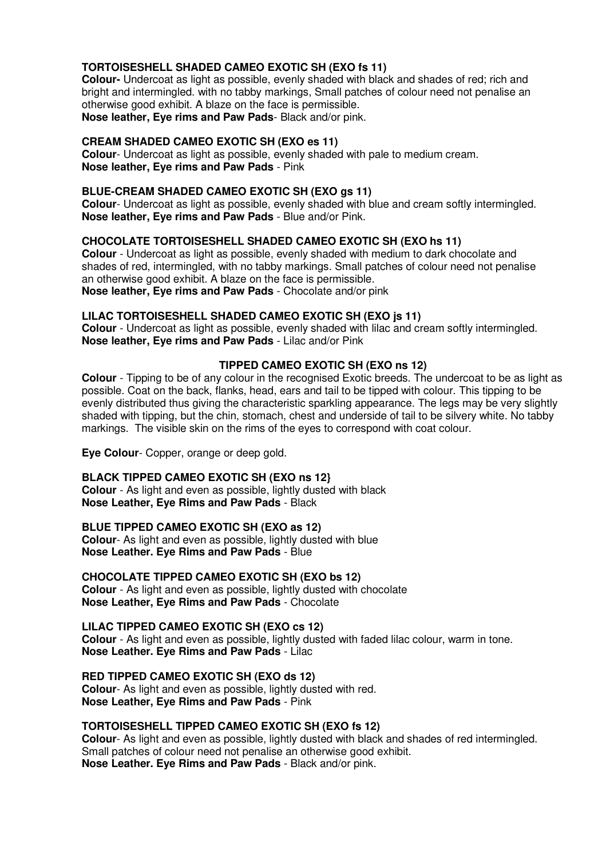#### **TORTOISESHELL SHADED CAMEO EXOTIC SH (EXO fs 11)**

**Colour-** Undercoat as light as possible, evenly shaded with black and shades of red; rich and bright and intermingled. with no tabby markings, Small patches of colour need not penalise an otherwise good exhibit. A blaze on the face is permissible. **Nose leather, Eye rims and Paw Pads**- Black and/or pink.

# **CREAM SHADED CAMEO EXOTIC SH (EXO es 11)**

**Colour**- Undercoat as light as possible, evenly shaded with pale to medium cream. **Nose leather, Eye rims and Paw Pads** - Pink

#### **BLUE-CREAM SHADED CAMEO EXOTIC SH (EXO gs 11)**

**Colour**- Undercoat as light as possible, evenly shaded with blue and cream softly intermingled. **Nose leather, Eye rims and Paw Pads** - Blue and/or Pink.

#### **CHOCOLATE TORTOISESHELL SHADED CAMEO EXOTIC SH (EXO hs 11)**

**Colour** - Undercoat as light as possible, evenly shaded with medium to dark chocolate and shades of red, intermingled, with no tabby markings. Small patches of colour need not penalise an otherwise good exhibit. A blaze on the face is permissible. **Nose leather, Eye rims and Paw Pads** - Chocolate and/or pink

#### **LILAC TORTOISESHELL SHADED CAMEO EXOTIC SH (EXO js 11)**

**Colour** - Undercoat as light as possible, evenly shaded with lilac and cream softly intermingled. **Nose leather, Eye rims and Paw Pads** - Lilac and/or Pink

#### **TIPPED CAMEO EXOTIC SH (EXO ns 12)**

**Colour** - Tipping to be of any colour in the recognised Exotic breeds. The undercoat to be as light as possible. Coat on the back, flanks, head, ears and tail to be tipped with colour. This tipping to be evenly distributed thus giving the characteristic sparkling appearance. The legs may be very slightly shaded with tipping, but the chin, stomach, chest and underside of tail to be silvery white. No tabby markings. The visible skin on the rims of the eyes to correspond with coat colour.

**Eye Colour**- Copper, orange or deep gold.

#### **BLACK TIPPED CAMEO EXOTIC SH (EXO ns 12}**

**Colour** - As light and even as possible, lightly dusted with black **Nose Leather, Eye Rims and Paw Pads** - Black

#### **BLUE TIPPED CAMEO EXOTIC SH (EXO as 12)**

**Colour**- As light and even as possible, lightly dusted with blue **Nose Leather. Eye Rims and Paw Pads** - Blue

#### **CHOCOLATE TIPPED CAMEO EXOTIC SH (EXO bs 12)**

**Colour** - As light and even as possible, lightly dusted with chocolate **Nose Leather, Eye Rims and Paw Pads** - Chocolate

#### **LILAC TIPPED CAMEO EXOTIC SH (EXO cs 12)**

**Colour** - As light and even as possible, lightly dusted with faded lilac colour, warm in tone. **Nose Leather. Eye Rims and Paw Pads** - Lilac

**RED TIPPED CAMEO EXOTIC SH (EXO ds 12)** 

**Colour**- As light and even as possible, lightly dusted with red. **Nose Leather, Eye Rims and Paw Pads** - Pink

#### **TORTOISESHELL TIPPED CAMEO EXOTIC SH (EXO fs 12)**

**Colour**- As light and even as possible, lightly dusted with black and shades of red intermingled. Small patches of colour need not penalise an otherwise good exhibit. **Nose Leather. Eye Rims and Paw Pads** - Black and/or pink.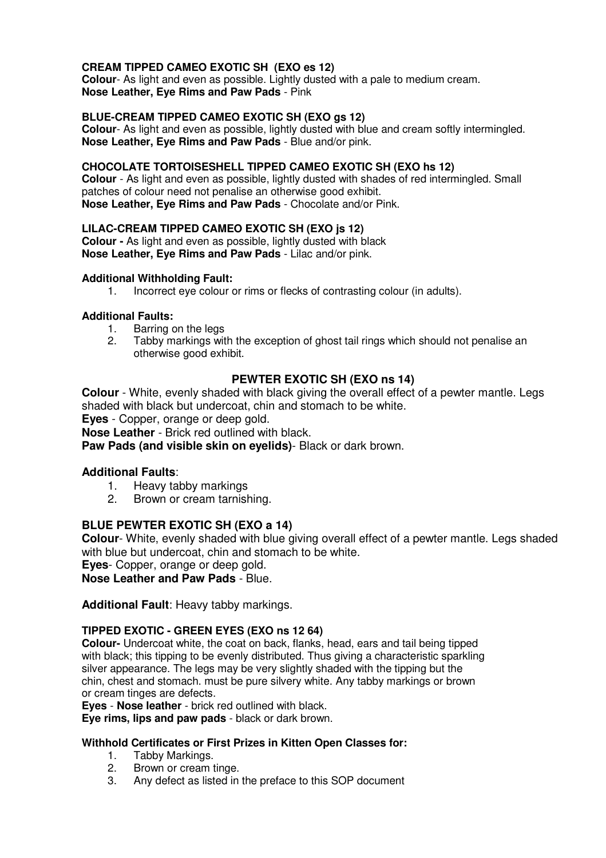#### **CREAM TIPPED CAMEO EXOTIC SH (EXO es 12)**

**Colour**- As light and even as possible. Lightly dusted with a pale to medium cream. **Nose Leather, Eye Rims and Paw Pads** - Pink

#### **BLUE-CREAM TIPPED CAMEO EXOTIC SH (EXO gs 12)**

**Colour**- As light and even as possible, lightly dusted with blue and cream softly intermingled. **Nose Leather, Eye Rims and Paw Pads** - Blue and/or pink.

#### **CHOCOLATE TORTOISESHELL TIPPED CAMEO EXOTIC SH (EXO hs 12)**

**Colour** - As light and even as possible, lightly dusted with shades of red intermingled. Small patches of colour need not penalise an otherwise good exhibit. **Nose Leather, Eye Rims and Paw Pads** - Chocolate and/or Pink.

#### **LILAC-CREAM TIPPED CAMEO EXOTIC SH (EXO js 12)**

**Colour -** As light and even as possible, lightly dusted with black **Nose Leather, Eye Rims and Paw Pads** - Lilac and/or pink.

#### **Additional Withholding Fault:**

1. Incorrect eye colour or rims or flecks of contrasting colour (in adults).

#### **Additional Faults:**

- 1. Barring on the legs
- 2. Tabby markings with the exception of ghost tail rings which should not penalise an otherwise good exhibit.

# **PEWTER EXOTIC SH (EXO ns 14)**

**Colour** - White, evenly shaded with black giving the overall effect of a pewter mantle. Legs shaded with black but undercoat, chin and stomach to be white.

**Eyes** - Copper, orange or deep gold.

**Nose Leather** - Brick red outlined with black.

**Paw Pads (and visible skin on eyelids)**- Black or dark brown.

#### **Additional Faults**:

- 1. Heavy tabby markings
- 2. Brown or cream tarnishing.

#### **BLUE PEWTER EXOTIC SH (EXO a 14)**

**Colour**- White, evenly shaded with blue giving overall effect of a pewter mantle. Legs shaded with blue but undercoat, chin and stomach to be white.

**Eyes**- Copper, orange or deep gold.

**Nose Leather and Paw Pads** - Blue.

**Additional Fault**: Heavy tabby markings.

#### **TIPPED EXOTIC - GREEN EYES (EXO ns 12 64)**

**Colour-** Undercoat white, the coat on back, flanks, head, ears and tail being tipped with black; this tipping to be evenly distributed. Thus giving a characteristic sparkling silver appearance. The legs may be very slightly shaded with the tipping but the chin, chest and stomach. must be pure silvery white. Any tabby markings or brown or cream tinges are defects.

**Eyes** - **Nose leather** - brick red outlined with black.

**Eye rims, lips and paw pads** - black or dark brown.

#### **Withhold Certificates or First Prizes in Kitten Open Classes for:**

- 1. Tabby Markings.<br>2. Brown or cream
- Brown or cream tinge.
- 3. Any defect as listed in the preface to this SOP document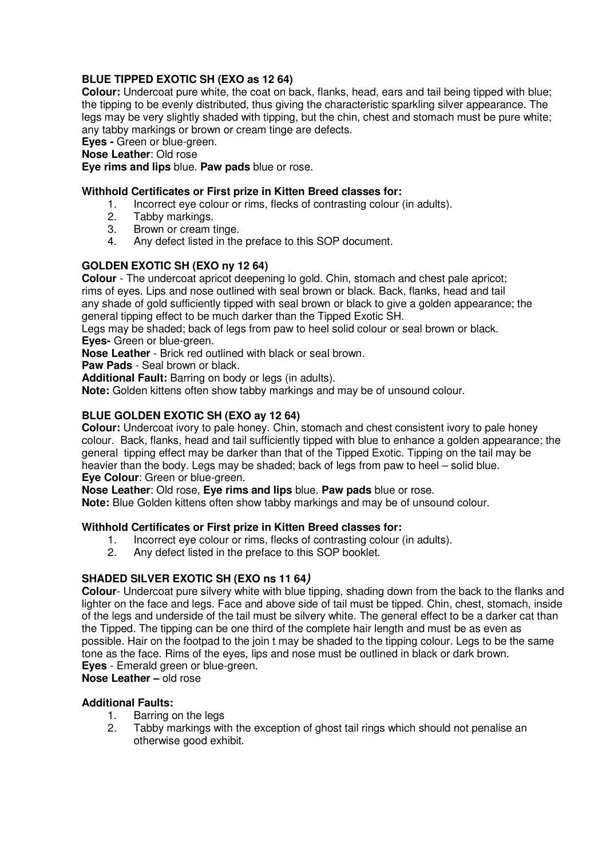#### **BLUE TIPPED EXOTIC SH (EXO as 12 64)**

**Colour:** Undercoat pure white, the coat on back, flanks, head, ears and tail being tipped with blue; the tipping to be evenly distributed, thus giving the characteristic sparkling silver appearance. The legs may be very slightly shaded with tipping, but the chin, chest and stomach must be pure white; any tabby markings or brown or cream tinge are defects.

**Eyes -** Green or blue-green.

**Nose Leather**: Old rose

**Eye rims and lips** blue. **Paw pads** blue or rose.

#### **Withhold Certificates or First prize in Kitten Breed classes for:**

- 1. Incorrect eye colour or rims, flecks of contrasting colour (in adults).<br>2. Tabby markings.
- 2. Tabby markings.<br>3. Brown or cream
- Brown or cream tinge.
- 4. Any defect listed in the preface to this SOP document.

#### **GOLDEN EXOTIC SH (EXO ny 12 64)**

**Colour** - The undercoat apricot deepening lo gold. Chin, stomach and chest pale apricot; rims of eyes. Lips and nose outlined with seal brown or black. Back, flanks, head and tail any shade of gold sufficiently tipped with seal brown or black to give a golden appearance; the general tipping effect to be much darker than the Tipped Exotic SH.

Legs may be shaded; back of legs from paw to heel solid colour or seal brown or black. **Eyes-** Green or blue-green.

**Nose Leather** - Brick red outlined with black or seal brown.

**Paw Pads** - Seal brown or black.

Additional Fault: Barring on body or legs (in adults).

**Note:** Golden kittens often show tabby markings and may be of unsound colour.

### **BLUE GOLDEN EXOTIC SH (EXO ay 12 64)**

**Colour:** Undercoat ivory to pale honey. Chin, stomach and chest consistent ivory to pale honey colour. Back, flanks, head and tail sufficiently tipped with blue to enhance a golden appearance; the general tipping effect may be darker than that of the Tipped Exotic. Tipping on the tail may be heavier than the body. Legs may be shaded; back of legs from paw to heel – solid blue. **Eye Colour**: Green or blue-green.

**Nose Leather**: Old rose, **Eye rims and lips** blue. **Paw pads** blue or rose.

**Note:** Blue Golden kittens often show tabby markings and may be of unsound colour.

#### **Withhold Certificates or First prize in Kitten Breed classes for:**

- 1. Incorrect eye colour or rims, flecks of contrasting colour (in adults).<br>2. Any defect listed in the preface to this SOP booklet.
- Any defect listed in the preface to this SOP booklet.

#### **SHADED SILVER EXOTIC SH (EXO ns 11 64)**

**Colour**- Undercoat pure silvery white with blue tipping, shading down from the back to the flanks and lighter on the face and legs. Face and above side of tail must be tipped. Chin, chest, stomach, inside of the legs and underside of the tail must be silvery white. The general effect to be a darker cat than the Tipped. The tipping can be one third of the complete hair length and must be as even as possible. Hair on the footpad to the join t may be shaded to the tipping colour. Legs to be the same tone as the face. Rims of the eyes, lips and nose must be outlined in black or dark brown. **Eves** - Emerald green or blue-green.

**Nose Leather –** old rose

#### **Additional Faults:**

- 1. Barring on the legs<br>2. Tabby markings with
- Tabby markings with the exception of ghost tail rings which should not penalise an otherwise good exhibit.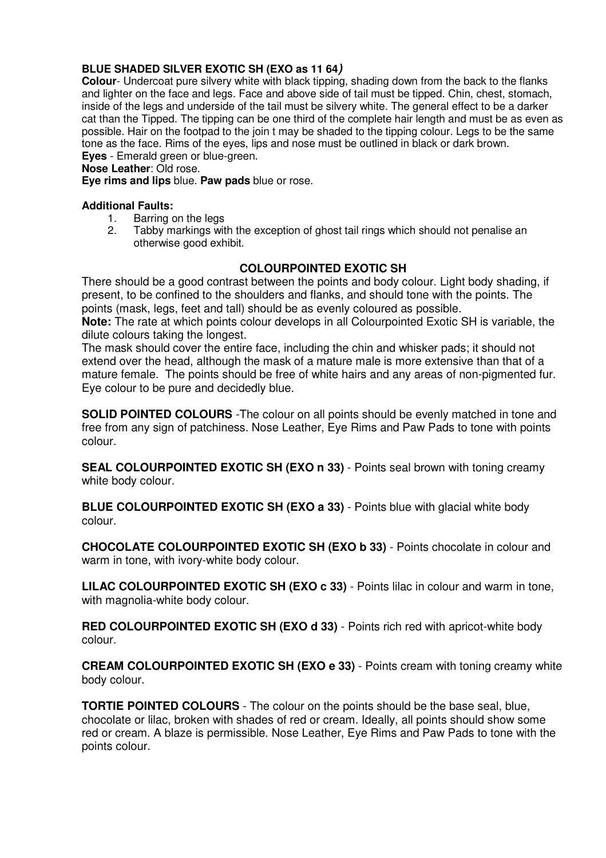#### **BLUE SHADED SILVER EXOTIC SH (EXO as 11 64)**

**Colour**- Undercoat pure silvery white with black tipping, shading down from the back to the flanks and lighter on the face and legs. Face and above side of tail must be tipped. Chin, chest, stomach, inside of the legs and underside of the tail must be silvery white. The general effect to be a darker cat than the Tipped. The tipping can be one third of the complete hair length and must be as even as possible. Hair on the footpad to the join t may be shaded to the tipping colour. Legs to be the same tone as the face. Rims of the eyes, lips and nose must be outlined in black or dark brown. **Eves** - Emerald green or blue-green.

# **Nose Leather**: Old rose.

**Eye rims and lips** blue. **Paw pads** blue or rose.

#### **Additional Faults:**

- 1. Barring on the legs<br>2. Tabby markings with
- Tabby markings with the exception of ghost tail rings which should not penalise an otherwise good exhibit.

# **COLOURPOINTED EXOTIC SH**

There should be a good contrast between the points and body colour. Light body shading, if present, to be confined to the shoulders and flanks, and should tone with the points. The points (mask, legs, feet and tall) should be as evenly coloured as possible.

**Note:** The rate at which points colour develops in all Colourpointed Exotic SH is variable, the dilute colours taking the longest.

The mask should cover the entire face, including the chin and whisker pads; it should not extend over the head, although the mask of a mature male is more extensive than that of a mature female. The points should be free of white hairs and any areas of non-pigmented fur. Eye colour to be pure and decidedly blue.

**SOLID POINTED COLOURS** -The colour on all points should be evenly matched in tone and free from any sign of patchiness. Nose Leather, Eye Rims and Paw Pads to tone with points colour.

**SEAL COLOURPOINTED EXOTIC SH (EXO n 33)** - Points seal brown with toning creamy white body colour.

**BLUE COLOURPOINTED EXOTIC SH (EXO a 33)** - Points blue with glacial white body colour.

**CHOCOLATE COLOURPOINTED EXOTIC SH (EXO b 33)** - Points chocolate in colour and warm in tone, with ivory-white body colour.

**LILAC COLOURPOINTED EXOTIC SH (EXO c 33)** - Points lilac in colour and warm in tone, with magnolia-white body colour.

**RED COLOURPOINTED EXOTIC SH (EXO d 33)** - Points rich red with apricot-white body colour.

**CREAM COLOURPOINTED EXOTIC SH (EXO e 33)** - Points cream with toning creamy white body colour.

**TORTIE POINTED COLOURS** - The colour on the points should be the base seal, blue, chocolate or lilac, broken with shades of red or cream. Ideally, all points should show some red or cream. A blaze is permissible. Nose Leather, Eye Rims and Paw Pads to tone with the points colour.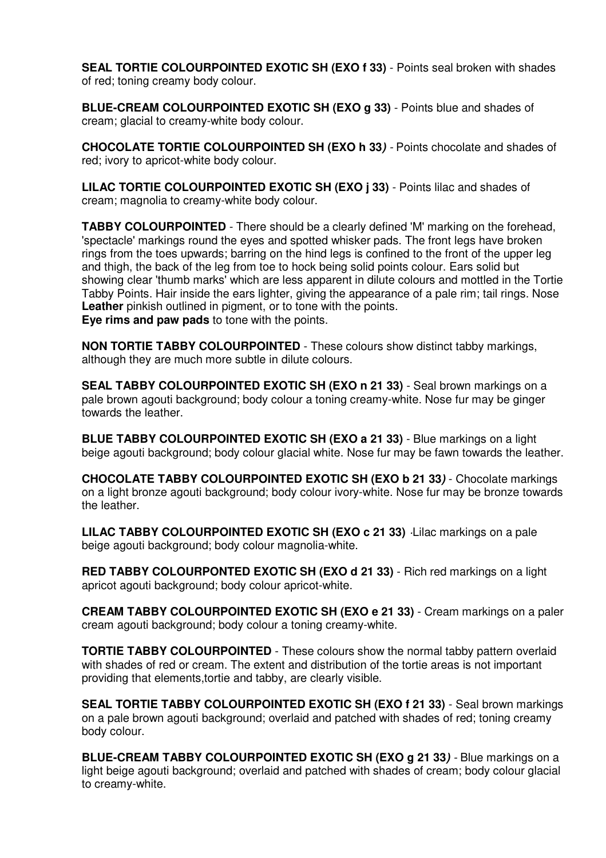**SEAL TORTIE COLOURPOINTED EXOTIC SH (EXO f 33)** - Points seal broken with shades of red; toning creamy body colour.

**BLUE-CREAM COLOURPOINTED EXOTIC SH (EXO g 33) - Points blue and shades of** cream; glacial to creamy-white body colour.

**CHOCOLATE TORTIE COLOURPOINTED SH (EXO h 33)** - Points chocolate and shades of red; ivory to apricot-white body colour.

**LILAC TORTIE COLOURPOINTED EXOTIC SH (EXO j 33)** - Points lilac and shades of cream; magnolia to creamy-white body colour.

**TABBY COLOURPOINTED** - There should be a clearly defined 'M' marking on the forehead, 'spectacle' markings round the eyes and spotted whisker pads. The front legs have broken rings from the toes upwards; barring on the hind legs is confined to the front of the upper leg and thigh, the back of the leg from toe to hock being solid points colour. Ears solid but showing clear 'thumb marks' which are less apparent in dilute colours and mottled in the Tortie Tabby Points. Hair inside the ears lighter, giving the appearance of a pale rim; tail rings. Nose **Leather** pinkish outlined in pigment, or to tone with the points. **Eye rims and paw pads** to tone with the points.

**NON TORTIE TABBY COLOURPOINTED** - These colours show distinct tabby markings, although they are much more subtle in dilute colours.

**SEAL TABBY COLOURPOINTED EXOTIC SH (EXO n 21 33)** - Seal brown markings on a pale brown agouti background; body colour a toning creamy-white. Nose fur may be ginger towards the leather.

**BLUE TABBY COLOURPOINTED EXOTIC SH (EXO a 21 33)** - Blue markings on a light beige agouti background; body colour glacial white. Nose fur may be fawn towards the leather.

**CHOCOLATE TABBY COLOURPOINTED EXOTIC SH (EXO b 21 33)** - Chocolate markings on a light bronze agouti background; body colour ivory-white. Nose fur may be bronze towards the leather.

**LILAC TABBY COLOURPOINTED EXOTIC SH (EXO c 21 33)** ·Lilac markings on a pale beige agouti background; body colour magnolia-white.

**RED TABBY COLOURPONTED EXOTIC SH (EXO d 21 33)** - Rich red markings on a light apricot agouti background; body colour apricot-white.

**CREAM TABBY COLOURPOINTED EXOTIC SH (EXO e 21 33)** - Cream markings on a paler cream agouti background; body colour a toning creamy-white.

**TORTIE TABBY COLOURPOINTED** - These colours show the normal tabby pattern overlaid with shades of red or cream. The extent and distribution of the tortie areas is not important providing that elements,tortie and tabby, are clearly visible.

**SEAL TORTIE TABBY COLOURPOINTED EXOTIC SH (EXO f 21 33)** - Seal brown markings on a pale brown agouti background; overlaid and patched with shades of red; toning creamy body colour.

**BLUE-CREAM TABBY COLOURPOINTED EXOTIC SH (EXO g 21 33)** - Blue markings on a light beige agouti background; overlaid and patched with shades of cream; body colour glacial to creamy-white.